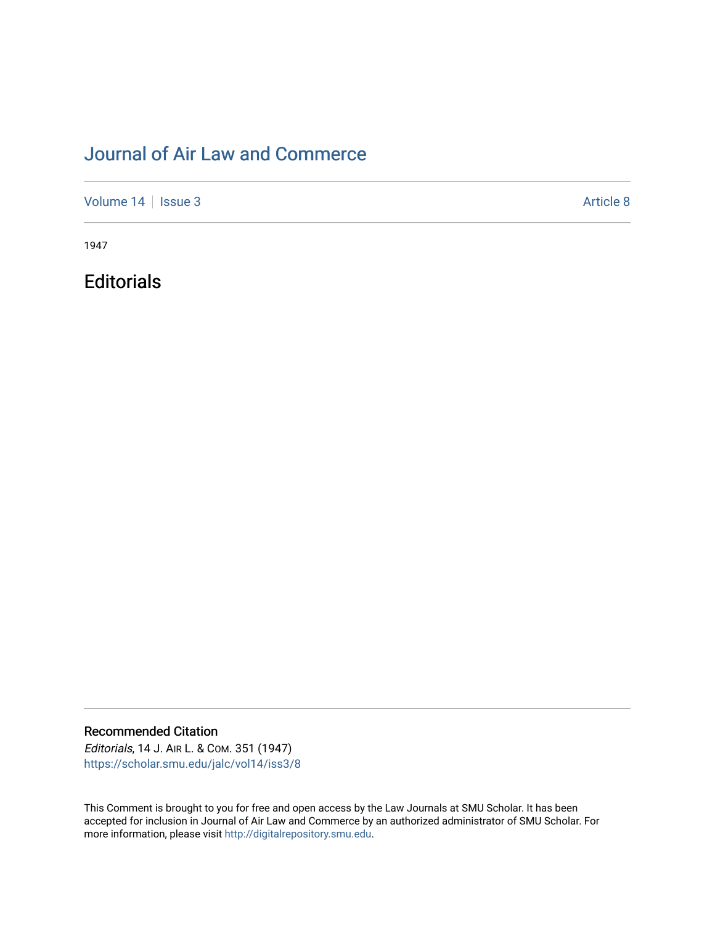# [Journal of Air Law and Commerce](https://scholar.smu.edu/jalc)

[Volume 14](https://scholar.smu.edu/jalc/vol14) | [Issue 3](https://scholar.smu.edu/jalc/vol14/iss3) Article 8

1947

**Editorials** 

Recommended Citation

Editorials, 14 J. AIR L. & COM. 351 (1947) [https://scholar.smu.edu/jalc/vol14/iss3/8](https://scholar.smu.edu/jalc/vol14/iss3/8?utm_source=scholar.smu.edu%2Fjalc%2Fvol14%2Fiss3%2F8&utm_medium=PDF&utm_campaign=PDFCoverPages) 

This Comment is brought to you for free and open access by the Law Journals at SMU Scholar. It has been accepted for inclusion in Journal of Air Law and Commerce by an authorized administrator of SMU Scholar. For more information, please visit [http://digitalrepository.smu.edu](http://digitalrepository.smu.edu/).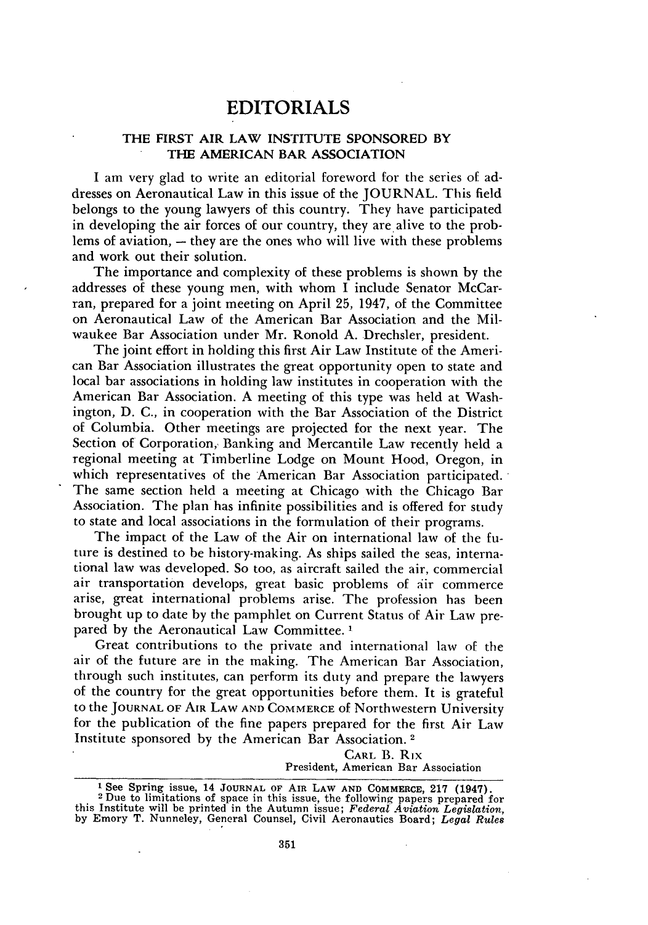# EDITORIALS

## THE FIRST AIR LAW **INSTITUTE SPONSORED BY THE AMERICAN BAR ASSOCIATION**

I am very glad to write an editorial foreword for the series of addresses on Aeronautical Law in this issue of the JOURNAL. This field belongs to the young lawyers of this country. They have participated in developing the air forces of our country, they are, alive to the problems of aviation,  $-$  they are the ones who will live with these problems and work out their solution.

The importance and complexity of these problems is shown **by** the addresses of these young men, with whom I include Senator McCarran, prepared for a joint meeting on April **25,** 1947, of the Committee on Aeronautical Law of the American Bar Association and the Milwaukee Bar Association under Mr. Ronold A. Drechsler, president.

The joint effort in holding this first Air Law Institute of the American Bar Association illustrates the great opportunity open to state and local bar associations in holding law institutes in cooperation with the American Bar Association. A meeting of this type was held at Washington, **D.** C., in cooperation with the Bar Association of the District of Columbia. Other meetings are projected for the next year. The Section of Corporation, Banking and Mercantile Law recently held a regional meeting at Timberline Lodge on Mount Hood, Oregon, in which representatives of the American Bar Association participated. The same section held a meeting at Chicago with the Chicago Bar Association. The plan has infinite possibilities and is offered for study to state and local associations in the formulation of their programs.

The impact of the Law of the Air on international law of the future is destined to be history-making. As ships sailed the seas, international law was developed. So too, as aircraft sailed the air, commercial air transportation develops, great basic problems of air commerce arise, great international problems arise. The profession has been brought up to date by the pamphlet on Current Status of Air Law prepared by the Aeronautical Law Committee. **I**

Great contributions to the private and international law of the air of the future are in the making. The American Bar Association, through such institutes, can perform its duty and prepare the lawyers of the country for the great opportunities before them. It is grateful to the **JOURNAL** OF **AIR** LAW **AND** COMMERCE of Northwestern University for the publication of the fine papers prepared for the first Air Law Institute sponsored by the American Bar Association. **<sup>2</sup>**

> CARL B. Rix President, American Bar Association

**<sup>1</sup>** See Spring issue, 14 **JOURNAL OF** AIR **LAW AND COMMERCE, 217** (1947). 2 Dee Spring issue, 14 JOURNAL OF AIR LAW AND COMMERCE, 217 (1947).<br><sup>2</sup> Due to limitations of space in this issue, the following papers prepared for

this Institute will be printed in the Autumn issue; *Federal Aviation Legislation,* **by** Emory T. Nunneley, General Counsel, Civil Aeronautics Board; *Legal Rules*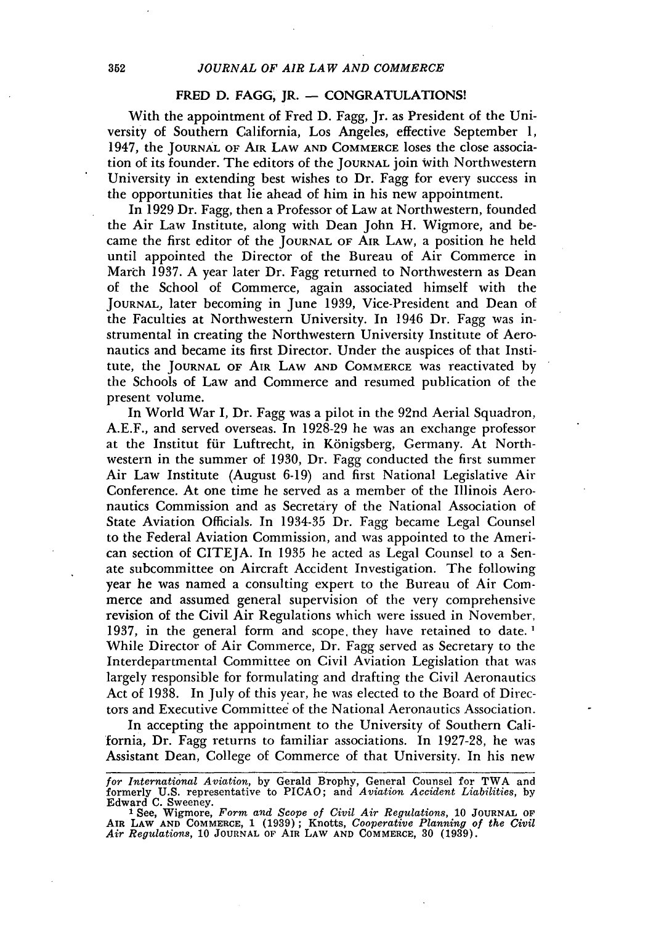### FRED **D.** FAGG, JR. **-** CONGRATULATIONS!

With the appointment of Fred **D.** Fagg, Jr. as President of the University of Southern California, Los Angeles, effective September 1, 1947, the **JOURNAL** OF AIR LAW **AND** COMMERCE loses the close association of its founder. The editors of the **JOURNAL** join with Northwestern University in extending best wishes to Dr. Fagg for every success in the opportunities that lie ahead of him in his new appointment.

In 1929 Dr. Fagg, then a Professor of Law at Northwestern, founded the Air Law Institute, along with Dean John H. Wigmore, and became the first editor of the **JOURNAL OF** AIR LAW, a position he held until appointed the Director of the Bureau of Air Commerce in March 1937. A year later Dr. Fagg returned to Northwestern as Dean of the School of Commerce, again associated himself with the **JOURNAL,** later becoming in June 1939, Vice-President and Dean of the Faculties at Northwestern University. In 1946 Dr. Fagg was instrumental in creating the Northwestern University Institute of Aeronautics and became its first Director. Under the auspices of that Institute, the **JOURNAL OF AIR** LAW **AND** COMMERCE was reactivated by the Schools of Law and Commerce and resumed publication of the present volume.

In World War I, Dr. Fagg was a pilot in the 92nd Aerial Squadron, A.E.F., and served overseas. In 1928-29 he was an exchange professor at the Institut für Luftrecht, in Königsberg, Germany. At Northwestern in the summer of 1930, Dr. Fagg conducted the first summer Air Law Institute (August 6-19) and first National Legislative Air Conference. At one time he served as a member of the Illinois Aeronautics Commission and as Secretary of the National Association of State Aviation Officials. In 1934-35 Dr. Fagg became Legal Counsel to the Federal Aviation Commission, and was appointed to the American section of CITEJA. In 1935 he acted as Legal Counsel to a Senate subcommittee on Aircraft Accident Investigation. The following year he was named a consulting expert to the Bureau of Air Commerce and assumed general supervision of the very comprehensive revision of the Civil Air Regulations which were issued in November, 1937, in the general form and scope, they have retained to date. **1** While Director of Air Commerce, Dr. Fagg served as Secretary to the Interdepartmental Committee on Civil Aviation Legislation that was largely responsible for formulating and drafting the Civil Aeronautics Act of 1938. In July of this year, he was elected to the Board of Directors and Executive Committee of the National Aeronautics Association.

In accepting the appointment to the University of Southern California, Dr. Fagg returns to familiar associations. In 1927-28, he was Assistant Dean, College of Commerce of that University. In his new

*for International Aviation, by Gerald Brophy, General Counsel for TWA and* formerly U.S. representative to PICAO; and *Aviation Accident Liabilities,* by

Edward C. Sweeney. **<sup>I</sup>**See, Wigmore, *Form and Scope of Civil Air Regulations,* **10 JOURNAL OF AIR LAW AND** COMMERCE, 1 (1939); Knotts, *Cooperative Planning of the Civil Air Regulations,* 10 **JOURNAL** OF **AIR** LAW **AND COMMERCE,** 30 **(1939).**